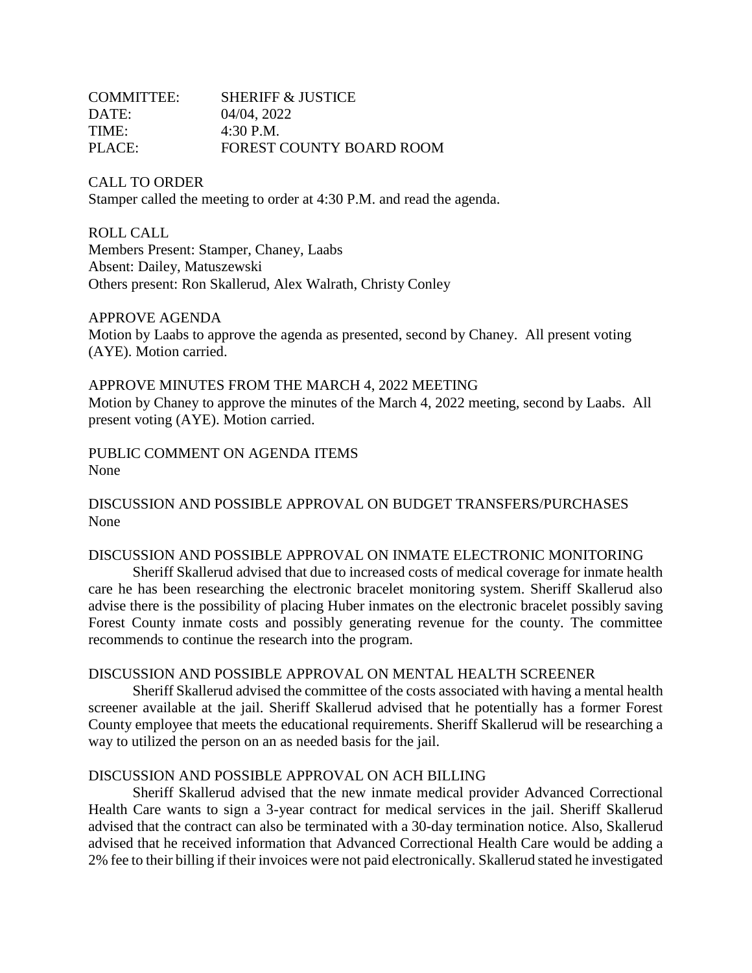| COMMITTEE: | <b>SHERIFF &amp; JUSTICE</b> |
|------------|------------------------------|
| DATE:      | 04/04, 2022                  |
| TIME:      | $4:30$ P.M.                  |
| PLACE:     | FOREST COUNTY BOARD ROOM     |

CALL TO ORDER Stamper called the meeting to order at 4:30 P.M. and read the agenda.

ROLL CALL Members Present: Stamper, Chaney, Laabs Absent: Dailey, Matuszewski Others present: Ron Skallerud, Alex Walrath, Christy Conley

# APPROVE AGENDA

Motion by Laabs to approve the agenda as presented, second by Chaney. All present voting (AYE). Motion carried.

APPROVE MINUTES FROM THE MARCH 4, 2022 MEETING Motion by Chaney to approve the minutes of the March 4, 2022 meeting, second by Laabs. All present voting (AYE). Motion carried.

PUBLIC COMMENT ON AGENDA ITEMS None

DISCUSSION AND POSSIBLE APPROVAL ON BUDGET TRANSFERS/PURCHASES None

#### DISCUSSION AND POSSIBLE APPROVAL ON INMATE ELECTRONIC MONITORING

Sheriff Skallerud advised that due to increased costs of medical coverage for inmate health care he has been researching the electronic bracelet monitoring system. Sheriff Skallerud also advise there is the possibility of placing Huber inmates on the electronic bracelet possibly saving Forest County inmate costs and possibly generating revenue for the county. The committee recommends to continue the research into the program.

#### DISCUSSION AND POSSIBLE APPROVAL ON MENTAL HEALTH SCREENER

Sheriff Skallerud advised the committee of the costs associated with having a mental health screener available at the jail. Sheriff Skallerud advised that he potentially has a former Forest County employee that meets the educational requirements. Sheriff Skallerud will be researching a way to utilized the person on an as needed basis for the jail.

#### DISCUSSION AND POSSIBLE APPROVAL ON ACH BILLING

Sheriff Skallerud advised that the new inmate medical provider Advanced Correctional Health Care wants to sign a 3-year contract for medical services in the jail. Sheriff Skallerud advised that the contract can also be terminated with a 30-day termination notice. Also, Skallerud advised that he received information that Advanced Correctional Health Care would be adding a 2% fee to their billing if their invoices were not paid electronically. Skallerud stated he investigated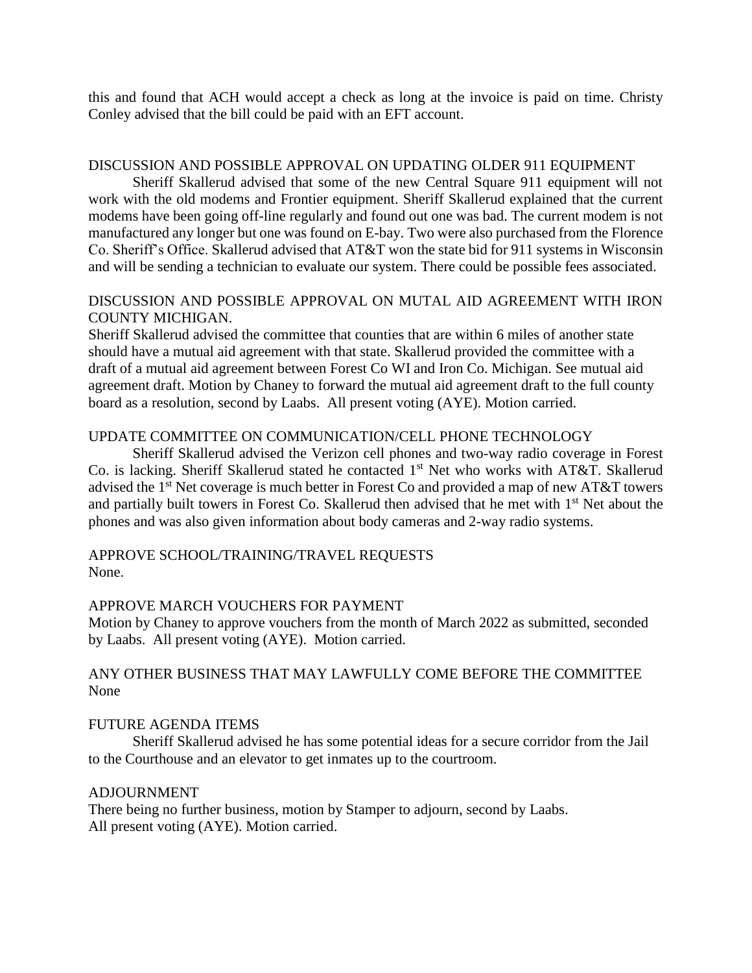this and found that ACH would accept a check as long at the invoice is paid on time. Christy Conley advised that the bill could be paid with an EFT account.

### DISCUSSION AND POSSIBLE APPROVAL ON UPDATING OLDER 911 EQUIPMENT

Sheriff Skallerud advised that some of the new Central Square 911 equipment will not work with the old modems and Frontier equipment. Sheriff Skallerud explained that the current modems have been going off-line regularly and found out one was bad. The current modem is not manufactured any longer but one was found on E-bay. Two were also purchased from the Florence Co. Sheriff's Office. Skallerud advised that AT&T won the state bid for 911 systems in Wisconsin and will be sending a technician to evaluate our system. There could be possible fees associated.

# DISCUSSION AND POSSIBLE APPROVAL ON MUTAL AID AGREEMENT WITH IRON COUNTY MICHIGAN.

Sheriff Skallerud advised the committee that counties that are within 6 miles of another state should have a mutual aid agreement with that state. Skallerud provided the committee with a draft of a mutual aid agreement between Forest Co WI and Iron Co. Michigan. See mutual aid agreement draft. Motion by Chaney to forward the mutual aid agreement draft to the full county board as a resolution, second by Laabs. All present voting (AYE). Motion carried.

# UPDATE COMMITTEE ON COMMUNICATION/CELL PHONE TECHNOLOGY

Sheriff Skallerud advised the Verizon cell phones and two-way radio coverage in Forest Co. is lacking. Sheriff Skallerud stated he contacted 1<sup>st</sup> Net who works with AT&T. Skallerud advised the 1<sup>st</sup> Net coverage is much better in Forest Co and provided a map of new AT&T towers and partially built towers in Forest Co. Skallerud then advised that he met with 1<sup>st</sup> Net about the phones and was also given information about body cameras and 2-way radio systems.

## APPROVE SCHOOL/TRAINING/TRAVEL REQUESTS None.

## APPROVE MARCH VOUCHERS FOR PAYMENT

Motion by Chaney to approve vouchers from the month of March 2022 as submitted, seconded by Laabs. All present voting (AYE). Motion carried.

# ANY OTHER BUSINESS THAT MAY LAWFULLY COME BEFORE THE COMMITTEE None

## FUTURE AGENDA ITEMS

Sheriff Skallerud advised he has some potential ideas for a secure corridor from the Jail to the Courthouse and an elevator to get inmates up to the courtroom.

#### ADJOURNMENT

There being no further business, motion by Stamper to adjourn, second by Laabs. All present voting (AYE). Motion carried.